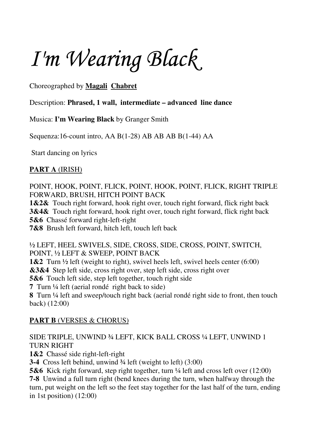*I'm Wearing Black* 

Choreographed by **Magali Chabret**

Description: **Phrased, 1 wall, intermediate – advanced line dance**

Musica: **I'm Wearing Black** by Granger Smith

Sequenza:16-count intro, AA B(1-28) AB AB AB B(1-44) AA

Start dancing on lyrics

## **PART A** (IRISH)

POINT, HOOK, POINT, FLICK, POINT, HOOK, POINT, FLICK, RIGHT TRIPLE FORWARD, BRUSH, HITCH POINT BACK

**1&2&** Touch right forward, hook right over, touch right forward, flick right back **3&4&** Touch right forward, hook right over, touch right forward, flick right back **5&6** Chassé forward right-left-right

**7&8** Brush left forward, hitch left, touch left back

½ LEFT, HEEL SWIVELS, SIDE, CROSS, SIDE, CROSS, POINT, SWITCH, POINT, ½ LEFT & SWEEP, POINT BACK

**1&2** Turn ½ left (weight to right), swivel heels left, swivel heels center (6:00)

**&3&4** Step left side, cross right over, step left side, cross right over

**5&6** Touch left side, step left together, touch right side

**7** Turn ¼ left (aerial rondé right back to side)

**8** Turn ¼ left and sweep/touch right back (aerial rondé right side to front, then touch back) (12:00)

# **PART B** (VERSES & CHORUS)

## SIDE TRIPLE, UNWIND ¾ LEFT, KICK BALL CROSS ¼ LEFT, UNWIND 1 TURN RIGHT

**1&2** Chassé side right-left-right

**3-4** Cross left behind, unwind ¾ left (weight to left) (3:00)

**5&6** Kick right forward, step right together, turn  $\frac{1}{4}$  left and cross left over (12:00)

**7-8** Unwind a full turn right (bend knees during the turn, when halfway through the turn, put weight on the left so the feet stay together for the last half of the turn, ending in 1st position) (12:00)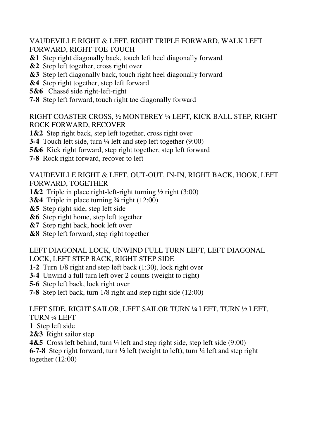VAUDEVILLE RIGHT & LEFT, RIGHT TRIPLE FORWARD, WALK LEFT FORWARD, RIGHT TOE TOUCH

- **&1** Step right diagonally back, touch left heel diagonally forward
- **&2** Step left together, cross right over
- **&3** Step left diagonally back, touch right heel diagonally forward
- **&4** Step right together, step left forward
- **5&6** Chassé side right-left-right
- **7-8** Step left forward, touch right toe diagonally forward

RIGHT COASTER CROSS, ½ MONTEREY ¼ LEFT, KICK BALL STEP, RIGHT ROCK FORWARD, RECOVER

- **1&2** Step right back, step left together, cross right over
- **3-4** Touch left side, turn ¼ left and step left together (9:00)
- **5&6** Kick right forward, step right together, step left forward
- **7-8** Rock right forward, recover to left

### VAUDEVILLE RIGHT & LEFT, OUT-OUT, IN-IN, RIGHT BACK, HOOK, LEFT FORWARD, TOGETHER

- **1&2** Triple in place right-left-right turning ½ right (3:00)
- **3&4** Triple in place turning ¾ right (12:00)
- **&5** Step right side, step left side
- **&6** Step right home, step left together
- **&7** Step right back, hook left over
- **&8** Step left forward, step right together

#### LEFT DIAGONAL LOCK, UNWIND FULL TURN LEFT, LEFT DIAGONAL LOCK, LEFT STEP BACK, RIGHT STEP SIDE

- **1-2** Turn 1/8 right and step left back (1:30), lock right over
- **3-4** Unwind a full turn left over 2 counts (weight to right)
- **5-6** Step left back, lock right over
- **7-8** Step left back, turn 1/8 right and step right side (12:00)

#### LEFT SIDE, RIGHT SAILOR, LEFT SAILOR TURN ¼ LEFT, TURN ½ LEFT, TURN ¼ LEFT

- **1** Step left side
- **2&3** Right sailor step

**4&5** Cross left behind, turn <sup>1</sup>/<sub>4</sub> left and step right side, step left side (9:00)

**6-7-8** Step right forward, turn ½ left (weight to left), turn ¼ left and step right together (12:00)